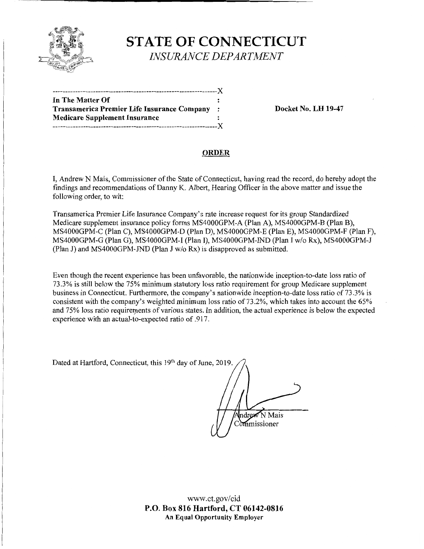

# **STATE OF CONNECTICUT**  *INSURANCE DEPARTMENT*

| In The Matter Of                            |           |
|---------------------------------------------|-----------|
| Transamerica Premier Life Insurance Company | $\cdot$ : |
| <b>Medicare Supplement Insurance</b>        |           |
| .-----------------------------------X       |           |

**Transamerica Premier Life Insurance Company** : **Docket No. LH 19-47** 

### **ORDER**

I, Andrew N Mais, Commissioner of the State of Connecticut, having read the record, do hereby adopt the findings and recommendations of Danny K. Albert, Hearing Officer in the above matter and issue the following order, to wit:

Transamerica Premier Life Insurance Company's rate increase request for its group Standardized Medicare supplement insurance policy forms MS4000GPM-A (Plan A), MS4000GPM-B (Plan B), MS4000GPM-C (Plan C), MS4000GPM-D (Plan D), MS4000GPM-E (Plan E), MS4000GPM-F (Plan F), MS4000GPM-G (Plan G), MS4000GPM-I (Plan I), MS4000GPM-IND (Plan I w/o Rx), MS4000GPM-J (Plan J) and MS4000GPM-JND (Plan J w/o Rx) is disapproved as submitted.

Even though the recent experience has been unfavorable, the nationwide inception-to-date loss ratio of 73.3% is still below the 75% minimum statutory loss ratio requirement for group Medicare supplement business in Connecticut. Furthermore, the company's nationwide inception-to-date loss ratio of 73.3% is consistent with the company's weighted minimum loss ratio of 73.2%, which takes into account the 65% and 75% loss ratio requirements of various states. In addition, the actual experience is below the expected experience with an actual-to-expected ratio of .917.

Dated at Hartford, Connecticut, this 19<sup>th</sup> day of June, 2019.

Andrew N Mais Commissioner

www.ct.gov/cid **P.O. Box 816 Hartford, CT 06142-0816 An Equal Opportunity Employer**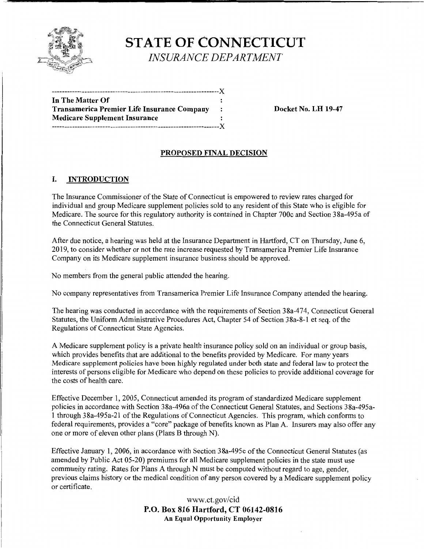

**STATE OF CONNECTICUT**  *INSURANCE DEPARTMENT* 

| In The Matter Of                            |           |
|---------------------------------------------|-----------|
| Transamerica Premier Life Insurance Company | $\cdot$ : |
| <b>Medicare Supplement Insurance</b>        |           |
|                                             |           |

**Docket No. LH 19-47** 

## **PROPOSED FINAL DECISION**

### I. **INTRODUCTION**

The Insurance Commissioner of the State of Connecticut is empowered to review rates charged for individual and group Medicare supplement policies sold to any resident of this State who is eligible for Medicare. The source for this regulatory authority is contained in Chapter 700c and Section 38a-495a of the Connecticut General Statutes.

After due notice, a hearing was held at the Insurance Department in Hartford, CT on Thursday, June 6, 2019, to consider whether or not the rate increase requested by Transamerica Premier Life Insurance Company on its Medicare supplement insurance business should be approved.

No members from the general public attended the hearing.

No company representatives from Transamerica Premier Life Insurance Company attended the hearing.

The hearing was conducted in accordance with the requirements of Section 38a-474, Connecticut General Statutes, the Uniform Administrative Procedures Act, Chapter 54 of Section 38a-8-1 et seq. of the Regulations of Connecticut State Agencies.

A Medicare supplement policy is a private health insurance policy sold on an individual or group basis, which provides benefits that are additional to the benefits provided by Medicare. For many years Medicare supplement policies have been highly regulated under both state and federal law to protect the interests of persons eligible for Medicare who depend on these policies to provide additional coverage for the costs of health care.

Effective December 1, 2005, Connecticut amended its program of standardized Medicare supplement policies in accordance with Section 38a-496a of the Connecticut General Statutes, and Sections 38a-495a-1 through 38a-495a-21 of the Regulations of Connecticut Agencies. This program, which conforms to federal requirements, provides a "core" package of benefits known as Plan A. Insurers may also offer any one or more of eleven other plans (Plans B through N).

Effective January 1, 2006, in accordance with Section 38a-495c of the Connecticut General Statutes (as amended by Public Act 05-20) premiums for all Medicare supplement policies in the state must use community rating. Rates for Plans A through N must be computed without regard to age, gender, previous claims history or the medical condition of any person covered by a Medicare supplement policy or certificate.

> www.ct.gov/cid **P.O. Box 816 Hartford, CT 06142-0816 An Equal Opportunity Employer**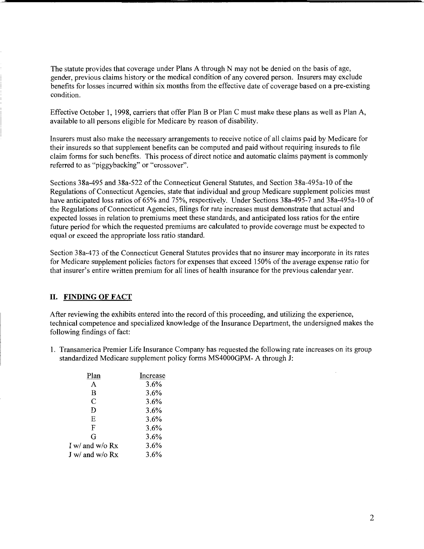The statute provides that coverage under Plans A through N may not be denied on the basis of age, gender, previous claims history or the medical condition of any covered person. Insurers may exclude benefits for losses incurred within six months from the effective date of coverage based on a pre-existing condition.

Effective October 1, 1998, carriers that offer Plan B or Plan C must make these plans as well as Plan A, available to all persons eligible for Medicare by reason of disability.

Insurers must also make the necessary arrangements to receive notice of all claims paid by Medicare for their insureds so that supplement benefits can be computed and paid without requiring insureds to file claim forms for such benefits. This process of direct notice and automatic claims payment is commonly referred to as "piggybacking" or "crossover".

Sections 38a-495 and 38a-522 of the Connecticut General Statutes, and Section 38a-495a-10 of the Regulations of Connecticut Agencies, state that individual and group Medicare supplement policies must have anticipated loss ratios of 65% and 75%, respectively. Under Sections 38a-495-7 and 38a-495a-10 of the Regulations of Connecticut Agencies, filings for rate increases must demonstrate that actual and expected losses in relation to premiums meet these standards, and anticipated loss ratios for the entire future period for which the requested premiums are calculated to provide coverage must be expected to equal or exceed the appropriate loss ratio standard.

Section 38a-473 of the Connecticut General Statutes provides that no insurer may incorporate in its rates for Medicare supplement policies factors for expenses that exceed 150% of the average expense ratio for that insurer's entire written premium for all lines of health insurance for the previous calendar year.

### II. **FINDING OF FACT**

After reviewing the exhibits entered into the record of this proceeding, and utilizing the experience, technical competence and specialized knowledge of the Insurance Department, the undersigned makes the following findings of fact:

1. Transamerica Premier Life Insurance Company has requested the following rate increases on its group standardized Medicare supplement policy forms MS4000GPM- A through J:

| Plan              | Increase |
|-------------------|----------|
| A                 | 3.6%     |
| B                 | 3.6%     |
| C                 | 3.6%     |
| D                 | 3.6%     |
| E                 | 3.6%     |
| F                 | 3.6%     |
| G                 | 3.6%     |
| I w/ and w/o $Rx$ | 3.6%     |
| J w/ and w/o $Rx$ | 3.6%     |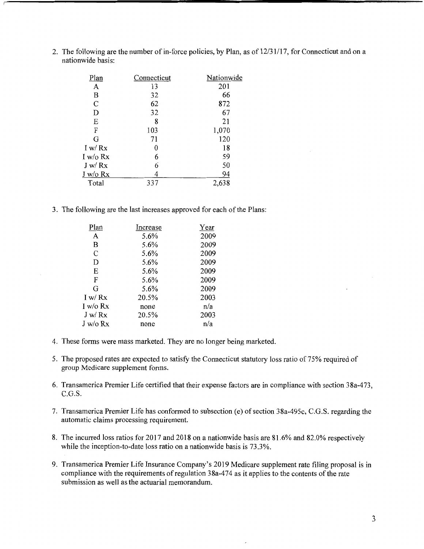2. The following are the number of in-force policies, by Plan, as of 12/31/17, for Connecticut and on a nationwide basis:

| Plan          | Connecticut | Nationwide |
|---------------|-------------|------------|
| A             | 13          | 201        |
| В             | 32          | 66         |
| $\mathcal{C}$ | 62          | 872        |
| D             | 32          | 67         |
| E             | 8           | 21         |
| F             | 103         | 1,070      |
| G             | 71          | 120        |
| I w/ $Rx$     | 0           | 18         |
| I w/o $Rx$    | 6           | 59         |
| J w/Rx        | 6           | 50         |
| $J$ w/o $Rx$  |             | 94         |
| Total         | 337         | 2,638      |

3. The following are the last increases approved for each of the Plans:

| Increase | Year |
|----------|------|
| 5.6%     | 2009 |
| 5.6%     | 2009 |
| 5.6%     | 2009 |
| 5.6%     | 2009 |
| 5.6%     | 2009 |
| 5.6%     | 2009 |
| 5.6%     | 2009 |
| 20.5%    | 2003 |
| none     | n/a  |
| 20.5%    | 2003 |
| none     | n/a  |
|          |      |

- 4. These forms were mass marketed. They are no longer being marketed.
- 5. The proposed rates are expected to satisfy the Connecticut statutory loss ratio of 75% required of group Medicare supplement forms.
- 6. Transamerica Premier Life certified that their expense factors are in compliance with section 38a-473, C.G.S.
- 7. Transamerica Premier Life has conformed to subsection (e) of section 38a-495c, C.G.S. regarding the automatic claims processing requirement.
- 8. The incurred loss ratios for 2017 and 2018 on a nationwide basis are 81.6% and 82.0% respectively while the inception-to-date loss ratio on a nationwide basis is 73.3%.
- 9. Transamerica Premier Life Insurance Company's 2019 Medicare supplement rate filing proposal is in compliance with the requirements of regulation 38a-474 as it applies to the contents of the rate submission as well as the actuarial memorandum.